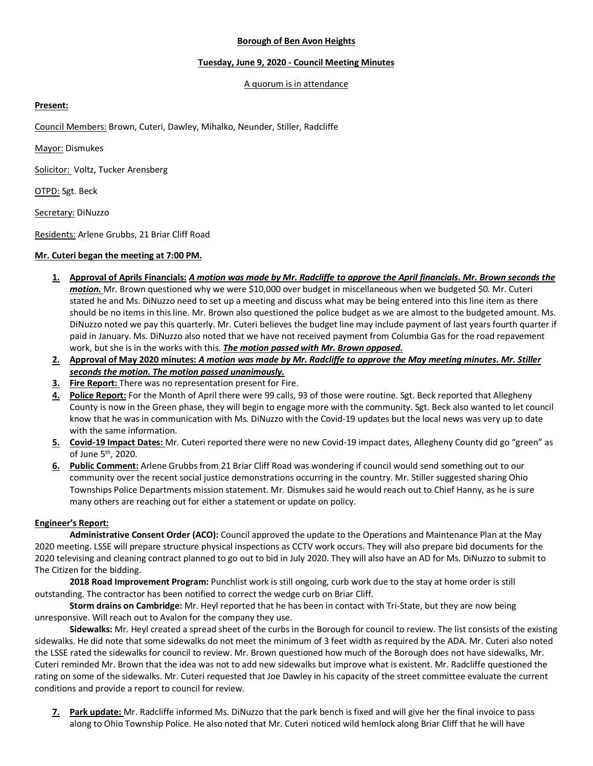### **Borough of Ben Avon Heights**

# **Tuesday, June 9, 2020 - Council Meeting Minutes**

#### A quorum is in attendance

# **Present:**

Council Members: Brown, Cuteri, Dawley, Mihalko, Neunder, Stiller, Radcliffe

Mayor: Dismukes

Solicitor: Voltz, Tucker Arensberg

OTPD: Sgt. Beck

Secretary: DiNuzzo

Residents: Arlene Grubbs, 21 Briar Cliff Road

# **Mr. Cuteri began the meeting at 7:00 PM.**

- **1. Approval of Aprils Financials:** *A motion was made by Mr. Radcliffe to approve the April financials. Mr. Brown seconds the motion.* Mr. Brown questioned why we were \$10,000 over budget in miscellaneous when we budgeted \$0. Mr. Cuteri stated he and Ms. DiNuzzo need to set up a meeting and discuss what may be being entered into this line item as there should be no items in this line. Mr. Brown also questioned the police budget as we are almost to the budgeted amount. Ms. DiNuzzo noted we pay this quarterly. Mr. Cuteri believes the budget line may include payment of last years fourth quarter if paid in January. Ms. DiNuzzo also noted that we have not received payment from Columbia Gas for the road repavement work, but she is in the works with this. *The motion passed with Mr. Brown opposed.*
- **2. Approval of May 2020 minutes:** *A motion was made by Mr. Radcliffe to approve the May meeting minutes. Mr. Stiller seconds the motion. The motion passed unanimously.*
- **3. Fire Report:** There was no representation present for Fire.
- **4. Police Report:** For the Month of April there were 99 calls, 93 of those were routine. Sgt. Beck reported that Allegheny County is now in the Green phase, they will begin to engage more with the community. Sgt. Beck also wanted to let council know that he was in communication with Ms. DiNuzzo with the Covid-19 updates but the local news was very up to date with the same information.
- **5. Covid-19 Impact Dates:** Mr. Cuteri reported there were no new Covid-19 impact dates, Allegheny County did go "green" as of June 5th, 2020.
- **6. Public Comment:** Arlene Grubbs from 21 Briar Cliff Road was wondering if council would send something out to our community over the recent social justice demonstrations occurring in the country. Mr. Stiller suggested sharing Ohio Townships Police Departments mission statement. Mr. Dismukes said he would reach out to Chief Hanny, as he is sure many others are reaching out for either a statement or update on policy.

# **Engineer's Report:**

**Administrative Consent Order (ACO):** Council approved the update to the Operations and Maintenance Plan at the May 2020 meeting. LSSE will prepare structure physical inspections as CCTV work occurs. They will also prepare bid documents for the 2020 televising and cleaning contract planned to go out to bid in July 2020. They will also have an AD for Ms. DiNuzzo to submit to The Citizen for the bidding.

**2018 Road Improvement Program:** Punchlist work is still ongoing, curb work due to the stay at home order is still outstanding. The contractor has been notified to correct the wedge curb on Briar Cliff.

**Storm drains on Cambridge:** Mr. Heyl reported that he has been in contact with Tri-State, but they are now being unresponsive. Will reach out to Avalon for the company they use.

**Sidewalks:** Mr. Heyl created a spread sheet of the curbs in the Borough for council to review. The list consists of the existing sidewalks. He did note that some sidewalks do not meet the minimum of 3 feet width as required by the ADA. Mr. Cuteri also noted the LSSE rated the sidewalks for council to review. Mr. Brown questioned how much of the Borough does not have sidewalks, Mr. Cuteri reminded Mr. Brown that the idea was not to add new sidewalks but improve what is existent. Mr. Radcliffe questioned the rating on some of the sidewalks. Mr. Cuteri requested that Joe Dawley in his capacity of the street committee evaluate the current conditions and provide a report to council for review.

**7. Park update:** Mr. Radcliffe informed Ms. DiNuzzo that the park bench is fixed and will give her the final invoice to pass along to Ohio Township Police. He also noted that Mr. Cuteri noticed wild hemlock along Briar Cliff that he will have